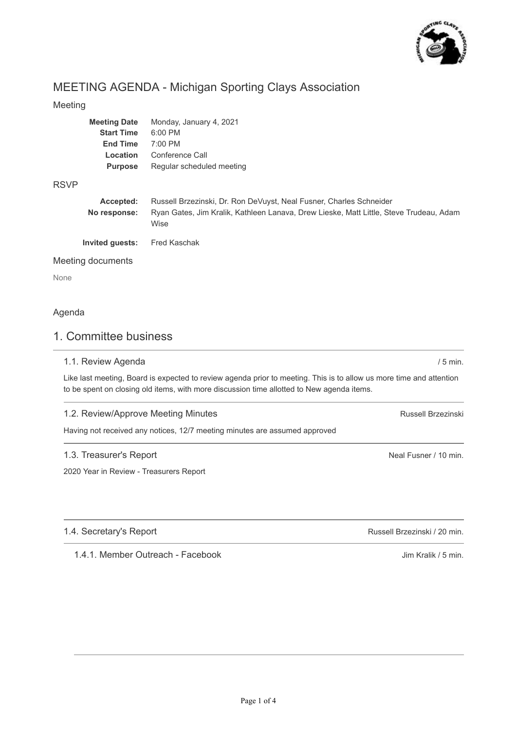

# MEETING AGENDA - Michigan Sporting Clays Association

### Meeting

| <b>Meeting Date</b> | Monday, January 4, 2021   |
|---------------------|---------------------------|
| <b>Start Time</b>   | 6:00 PM                   |
| <b>End Time</b>     | $7:00$ PM                 |
| Location            | Conference Call           |
| <b>Purpose</b>      | Regular scheduled meeting |
|                     |                           |

### RSVP

| Accepted:       | Russell Brzezinski, Dr. Ron DeVuyst, Neal Fusner, Charles Schneider                            |
|-----------------|------------------------------------------------------------------------------------------------|
| No response:    | Ryan Gates, Jim Kralik, Kathleen Lanava, Drew Lieske, Matt Little, Steve Trudeau, Adam<br>Wise |
| Invited guests: | Fred Kaschak                                                                                   |

### Meeting documents

None

### Agenda

# 1. Committee business

### 1.1. Review Agenda

Like last meeting, Board is expected to review agenda prior to meeting. This is to allow us more time and attention to be spent on closing old items, with more discussion time allotted to New agenda items.

### 1.2. Review/Approve Meeting Minutes

Having not received any notices, 12/7 meeting minutes are assumed approved

### 1.3. Treasurer's Report

2020 Year in Review - Treasurers Report

### 1.4. Secretary's Report

1.4.1. Member Outreach - Facebook

Neal Fusner / 10 min.

Russell Brzezinski

/ 5 min.

Russell Brzezinski / 20 min.

Jim Kralik / 5 min.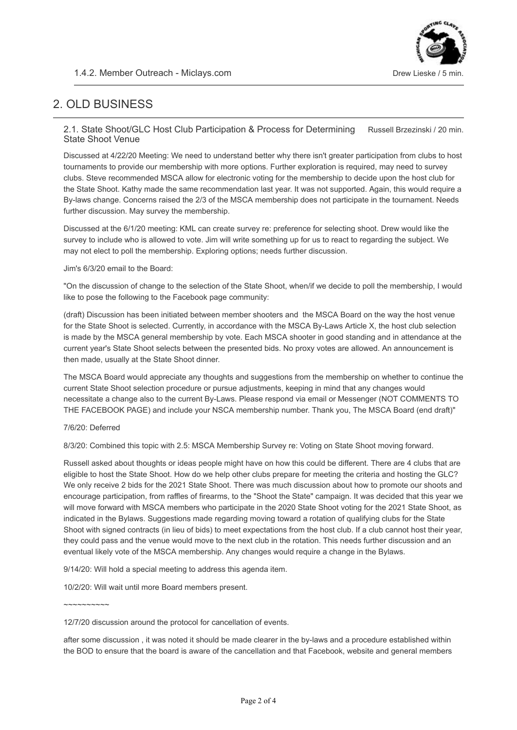

# 2. OLD BUSINESS

#### Russell Brzezinski / 20 min. 2.1. State Shoot/GLC Host Club Participation & Process for Determining State Shoot Venue

Discussed at 4/22/20 Meeting: We need to understand better why there isn't greater participation from clubs to host tournaments to provide our membership with more options. Further exploration is required, may need to survey clubs. Steve recommended MSCA allow for electronic voting for the membership to decide upon the host club for the State Shoot. Kathy made the same recommendation last year. It was not supported. Again, this would require a By-laws change. Concerns raised the 2/3 of the MSCA membership does not participate in the tournament. Needs further discussion. May survey the membership.

Discussed at the 6/1/20 meeting: KML can create survey re: preference for selecting shoot. Drew would like the survey to include who is allowed to vote. Jim will write something up for us to react to regarding the subject. We may not elect to poll the membership. Exploring options; needs further discussion.

### Jim's 6/3/20 email to the Board:

"On the discussion of change to the selection of the State Shoot, when/if we decide to poll the membership, I would like to pose the following to the Facebook page community:

(draft) Discussion has been initiated between member shooters and the MSCA Board on the way the host venue for the State Shoot is selected. Currently, in accordance with the MSCA By-Laws Article X, the host club selection is made by the MSCA general membership by vote. Each MSCA shooter in good standing and in attendance at the current year's State Shoot selects between the presented bids. No proxy votes are allowed. An announcement is then made, usually at the State Shoot dinner.

The MSCA Board would appreciate any thoughts and suggestions from the membership on whether to continue the current State Shoot selection procedure or pursue adjustments, keeping in mind that any changes would necessitate a change also to the current By-Laws. Please respond via email or Messenger (NOT COMMENTS TO THE FACEBOOK PAGE) and include your NSCA membership number. Thank you, The MSCA Board (end draft)"

### 7/6/20: Deferred

8/3/20: Combined this topic with 2.5: MSCA Membership Survey re: Voting on State Shoot moving forward.

Russell asked about thoughts or ideas people might have on how this could be different. There are 4 clubs that are eligible to host the State Shoot. How do we help other clubs prepare for meeting the criteria and hosting the GLC? We only receive 2 bids for the 2021 State Shoot. There was much discussion about how to promote our shoots and encourage participation, from raffles of firearms, to the "Shoot the State" campaign. It was decided that this year we will move forward with MSCA members who participate in the 2020 State Shoot voting for the 2021 State Shoot, as indicated in the Bylaws. Suggestions made regarding moving toward a rotation of qualifying clubs for the State Shoot with signed contracts (in lieu of bids) to meet expectations from the host club. If a club cannot host their year, they could pass and the venue would move to the next club in the rotation. This needs further discussion and an eventual likely vote of the MSCA membership. Any changes would require a change in the Bylaws.

9/14/20: Will hold a special meeting to address this agenda item.

10/2/20: Will wait until more Board members present.

 $\sim$ ~~~~~~~~

12/7/20 discussion around the protocol for cancellation of events.

after some discussion , it was noted it should be made clearer in the by-laws and a procedure established within the BOD to ensure that the board is aware of the cancellation and that Facebook, website and general members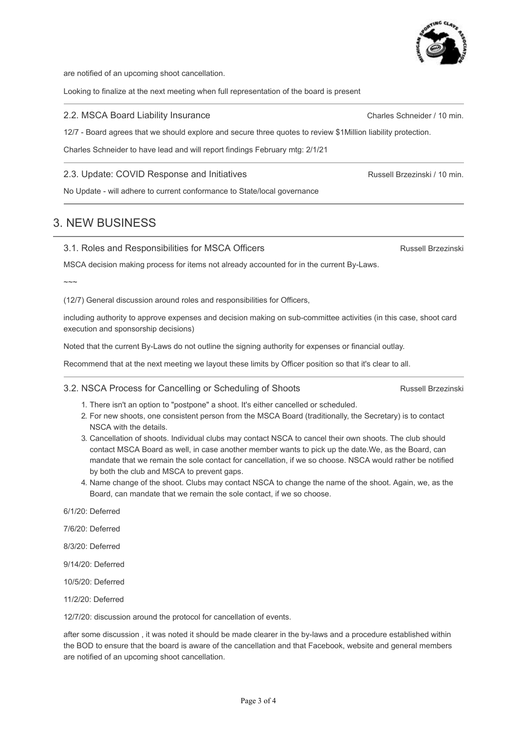are notified of an upcoming shoot cancellation.

Looking to finalize at the next meeting when full representation of the board is present

#### 2.2. MSCA Board Liability Insurance

12/7 - Board agrees that we should explore and secure three quotes to review \$1Million liability protection.

Charles Schneider to have lead and will report findings February mtg: 2/1/21

### 2.3. Update: COVID Response and Initiatives

3.1. Roles and Responsibilities for MSCA Officers

No Update - will adhere to current conformance to State/local governance

# 3. NEW BUSINESS

### MSCA decision making process for items not already accounted for in the current By-Laws.

 $\sim\sim\sim$ 

(12/7) General discussion around roles and responsibilities for Officers,

including authority to approve expenses and decision making on sub-committee activities (in this case, shoot card execution and sponsorship decisions)

Noted that the current By-Laws do not outline the signing authority for expenses or financial outlay.

Recommend that at the next meeting we layout these limits by Officer position so that it's clear to all.

### 3.2. NSCA Process for Cancelling or Scheduling of Shoots

- 1. There isn't an option to "postpone" a shoot. It's either cancelled or scheduled.
- 2. For new shoots, one consistent person from the MSCA Board (traditionally, the Secretary) is to contact NSCA with the details.
- 3. Cancellation of shoots. Individual clubs may contact NSCA to cancel their own shoots. The club should contact MSCA Board as well, in case another member wants to pick up the date.We, as the Board, can mandate that we remain the sole contact for cancellation, if we so choose. NSCA would rather be notified by both the club and MSCA to prevent gaps.
- 4. Name change of the shoot. Clubs may contact NSCA to change the name of the shoot. Again, we, as the Board, can mandate that we remain the sole contact, if we so choose.

6/1/20: Deferred

7/6/20: Deferred

8/3/20: Deferred

9/14/20: Deferred

10/5/20: Deferred

11/2/20: Deferred

12/7/20: discussion around the protocol for cancellation of events.

after some discussion , it was noted it should be made clearer in the by-laws and a procedure established within the BOD to ensure that the board is aware of the cancellation and that Facebook, website and general members are notified of an upcoming shoot cancellation.



Russell Brzezinski / 10 min.

Charles Schneider / 10 min.

Russell Brzezinski

Russell Brzezinski